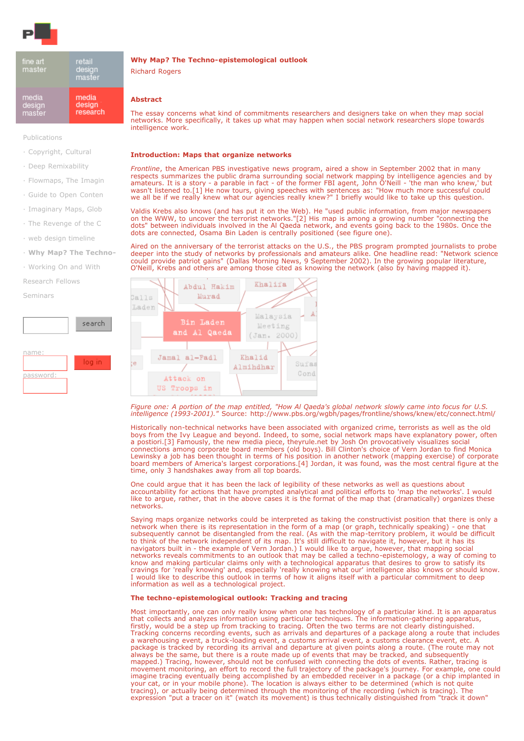

| fine art<br>master | retail<br>design<br>master |
|--------------------|----------------------------|
| media              | media                      |
| design             | design                     |
| master             | research                   |

[Publications](https://pzwart.wdka.hro.nl/mdr/pubsfolder/)

- ! [Copyright, Cultural](https://pzwart.wdka.hro.nl/mdr/pubsfolder/liangessay/view)
- ! [Deep Remixability](https://pzwart.wdka.hro.nl/mdr/pubsfolder/manovichessay/view)
- ! [Flowmaps, The Imagin](https://pzwart.wdka.hro.nl/mdr/pubsfolder/bhflowmaps/view)
- ! [Guide to Open Conten](https://pzwart.wdka.hro.nl/mdr/pubsfolder/opencontent/view)
- ! [Imaginary Maps, Glob](https://pzwart.wdka.hro.nl/mdr/pubsfolder/bhimaginary/view)
- . [The Revenge of the C](https://pzwart.wdka.hro.nl/mdr/pubsfolder/bhrevcon/view)
- . [web design timeline](https://pzwart.wdka.hro.nl/mdr/pubsfolder/ohtcall/view)
- ! **[Why Map? The Techno-](https://pzwart.wdka.hro.nl/mdr/pubsfolder/whymap/view)**
- ! [Working On and With](https://pzwart.wdka.hro.nl/mdr/pubsfolder/Eigensinn/view)

[Research Fellows](https://pzwart.wdka.hro.nl/mdr/research/)

[Seminars](https://pzwart.wdka.hro.nl/mdr/Seminars2/)



# **Why Map? The Techno-epistemological outlook**

Richard Rogers

## **Abstract**

The essay concerns what kind of commitments researchers and designers take on when they map social networks. More specifically, it takes up what may happen when social network researchers slope towards intelligence work.

#### **Introduction: Maps that organize networks**

*Frontline*, the American PBS investigative news program, aired a show in September 2002 that in many respects summarizes the public drama surrounding social network mapping by intelligence agencies and by amateurs. It is a story - a parable in fact - of the former FBI agent, John O'Neill - 'the man who knew,' but wasn't listened to.[1] He now tours, giving speeches with sentences as: "How much more successful could we all be if we really knew what our agencies really knew?" I briefly would like to take up this question.

Valdis Krebs also knows (and has put it on the Web). He "used public information, from major newspapers on the WWW, to uncover the terrorist networks."[2] His map is among a growing number "connecting the dots" between individuals involved in the Al Qaeda network, and events going back to the 1980s. Once the dots are connected, Osama Bin Laden is centrally positioned (see figure one).

Aired on the anniversary of the terrorist attacks on the U.S., the PBS program prompted journalists to probe deeper into the study of networks by professionals and amateurs alike. One headline read: "Network science could provide patriot gains" (Dallas Morning News, 9 September 2002). In the growing popular literature, O'Neill, Krebs and others are among those cited as knowing the network (also by having mapped it).



*Figure one: A portion of the map entitled, "How Al Qaeda's global network slowly came into focus for U.S. intelligence (1993-2001)."* Source: http://www.pbs.org/wgbh/pages/frontline/shows/knew/etc/connect.html/

Historically non-technical networks have been associated with organized crime, terrorists as well as the old boys from the Ivy League and beyond. Indeed, to some, social network maps have explanatory power, often a postiori.[3] Famously, the new media piece, theyrule.net by Josh On provocatively visualizes social connections among corporate board members (old boys). Bill Clinton's choice of Vern Jordan to find Monica Lewinsky a job has been thought in terms of his position in another network (mapping exercise) of corporate board members of America's largest corporations.[4] Jordan, it was found, was the most central figure at the time, only 3 handshakes away from all top boards.

One could argue that it has been the lack of legibility of these networks as well as questions about accountability for actions that have prompted analytical and political efforts to 'map the networks'. I would like to argue, rather, that in the above cases it is the format of the map that (dramatically) organizes these networks.

Saying maps organize networks could be interpreted as taking the constructivist position that there is only a network when there is its representation in the form of a map (or graph, technically speaking) - one that subsequently cannot be disentangled from the real. (As with the map-territory problem, it would be difficult to think of the network independent of its map. It's still difficult to navigate it, however, but it has its navigators built in - the example of Vern Jordan.) I would like to argue, however, that mapping social networks reveals commitments to an outlook that may be called a techno-epistemology, a way of coming to know and making particular claims only with a technological apparatus that desires to grow to satisfy its cravings for 'really knowing' and, especially 'really knowing what our' intelligence also knows or should know. I would like to describe this outlook in terms of how it aligns itself with a particular commitment to deep information as well as a technological project.

## **The techno-epistemological outlook: Tracking and tracing**

Most importantly, one can only really know when one has technology of a particular kind. It is an apparatus that collects and analyzes information using particular techniques. The information-gathering apparatus, firstly, would be a step up from tracking to tracing. Often the two terms are not clearly distinguished. Tracking concerns recording events, such as arrivals and departures of a package along a route that includes a warehousing event, a truck-loading event, a customs arrival event, a customs clearance event, etc. A package is tracked by recording its arrival and departure at given points along a route. (The route may not always be the same, but there is a route made up of events that may be tracked, and subsequently mapped.) Tracing, however, should not be confused with connecting the dots of events. Rather, tracing is movement monitoring, an effort to record the full trajectory of the package's journey. For example, one could imagine tracing eventually being accomplished by an embedded receiver in a package (or a chip implanted in your cat, or in your mobile phone). The location is always either to be determined (which is not quite tracing), or actually being determined through the monitoring of the recording (which is tracing). The expression "put a tracer on it" (watch its movement) is thus technically distinguished from "track it down"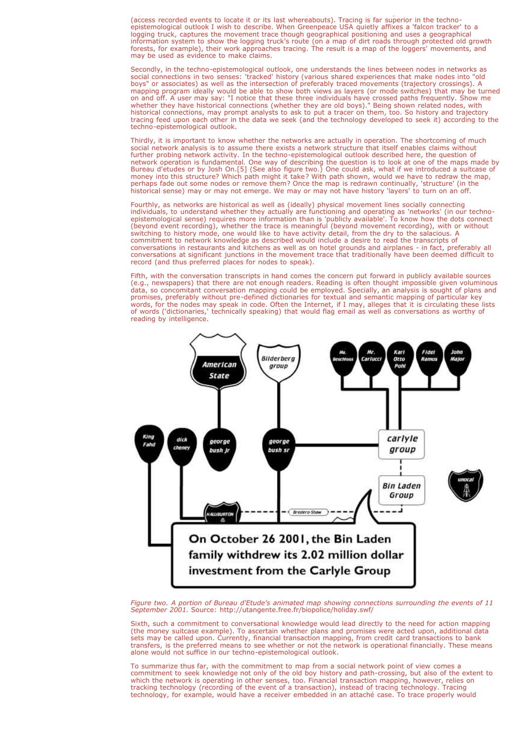expression "put a tracer on it" (watch its movement) is thus technically distinguished from "track it down" (access recorded events to locate it or its last whereabouts). Tracing is far superior in the technoepistemological outlook I wish to describe. When Greenpeace USA quietly affixes a 'falcon tracker' to a logging truck, captures the movement trace though geographical positioning and uses a geographical information system to show the logging truck's route (on a map of dirt roads through protected old growth forests, for example), their work approaches tracing. The result is a map of the loggers' movements, and may be used as evidence to make claims.

Secondly, in the techno-epistemological outlook, one understands the lines between nodes in networks as social connections in two senses: 'tracked' history (various shared experiences that make nodes into "old boys" or associates) as well as the intersection of preferably traced movements (trajectory crossings). A mapping program ideally would be able to show both views as layers (or mode switches) that may be turned on and off. A user may say: "I notice that these three individuals have crossed paths frequently. Show me whether they have historical connections (whether they are old boys)." Being shown related nodes, with historical connections, may prompt analysts to ask to put a tracer on them, too. So history and trajectory tracing feed upon each other in the data we seek (and the technology developed to seek it) according to the techno-epistemological outlook.

Thirdly, it is important to know whether the networks are actually in operation. The shortcoming of much social network analysis is to assume there exists a network structure that itself enables claims without further probing network activity. In the techno-epistemological outlook described here, the question of network operation is fundamental. One way of describing the question is to look at one of the maps made by Bureau d'etudes or by Josh On.[5] (See also figure two.) One could ask, what if we introduced a suitcase of money into this structure? Which path might it take? With path shown, would we have to redraw the map, perhaps fade out some nodes or remove them? Once the map is redrawn continually, 'structure' (in the historical sense) may or may not emerge. We may or may not have history 'layers' to turn on an off.

Fourthly, as networks are historical as well as (ideally) physical movement lines socially connecting individuals, to understand whether they actually are functioning and operating as 'networks' (in our technoepistemological sense) requires more information than is 'publicly available'. To know how the dots connect (beyond event recording), whether the trace is meaningful (beyond movement recording), with or without switching to history mode, one would like to have activity detail, from the dry to the salacious. A commitment to network knowledge as described would include a desire to read the transcripts of conversations in restaurants and kitchens as well as on hotel grounds and airplanes - in fact, preferably all conversations at significant junctions in the movement trace that traditionally have been deemed difficult to record (and thus preferred places for nodes to speak).

Fifth, with the conversation transcripts in hand comes the concern put forward in publicly available sources (e.g., newspapers) that there are not enough readers. Reading is often thought impossible given voluminous data, so concomitant conversation mapping could be employed. Specially, an analysis is sought of plans and promises, preferably without pre-defined dictionaries for textual and semantic mapping of particular key words, for the nodes may speak in code. Often the Internet, if I may, alleges that it is circulating these lists of words ('dictionaries,' technically speaking) that would flag email as well as conversations as worthy of reading by intelligence.



*Figure two. A portion of Bureau d'Etude's animated map showing connections surrounding the events of 11 September 2001.* Source: http://utangente.free.fr/biopolice/holiday.swf/

Sixth, such a commitment to conversational knowledge would lead directly to the need for action mapping (the money suitcase example). To ascertain whether plans and promises were acted upon, additional data sets may be called upon. Currently, financial transaction mapping, from credit card transactions to bank transfers, is the preferred means to see whether or not the network is operational financially. These means alone would not suffice in our techno-epistemological outlook.

To summarize thus far, with the commitment to map from a social network point of view comes a commitment to seek knowledge not only of the old boy history and path-crossing, but also of the extent to which the network is operating in other senses, too. Financial transaction mapping, however, relies on tracking technology (recording of the event of a transaction), instead of tracing technology. Tracing technology, for example, would have a receiver embedded in an attaché case. To trace properly would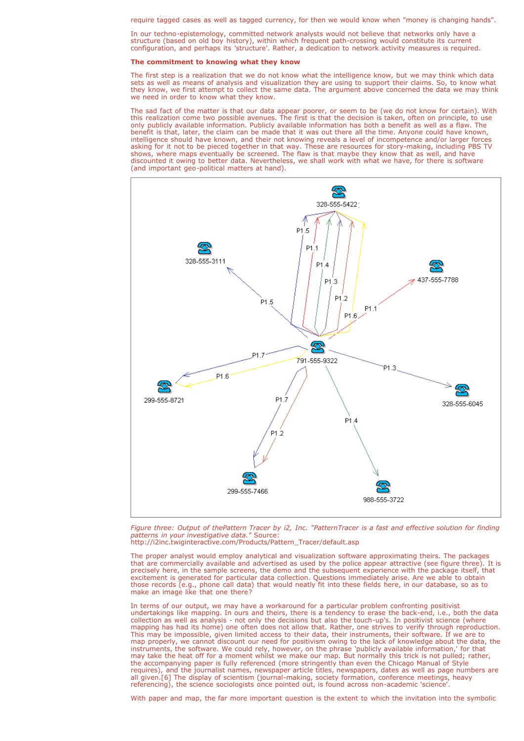require tagged cases as well as tagged currency, for then we would know when "money is changing hands".

In our techno-epistemology, committed network analysts would not believe that networks only have a structure (based on old boy history), within which frequent path-crossing would constitute its current configuration, and perhaps its 'structure'. Rather, a dedication to network activity measures is required.

technology, for example, would have a receiver embedded in an attaché case. To trace properly would

#### **The commitment to knowing what they know**

The first step is a realization that we do not know what the intelligence know, but we may think which data sets as well as means of analysis and visualization they are using to support their claims. So, to know what they know, we first attempt to collect the same data. The argument above concerned the data we may think we need in order to know what they know.

The sad fact of the matter is that our data appear poorer, or seem to be (we do not know for certain). With this realization come two possible avenues. The first is that the decision is taken, often on principle, to use only publicly available information. Publicly available information has both a benefit as well as a flaw. The benefit is that, later, the claim can be made that it was out there all the time. Anyone could have known, intelligence should have known, and their not knowing reveals a level of incompetence and/or larger forces asking for it not to be pieced together in that way. These are resources for story-making, including PBS TV shows, where maps eventually be screened. The flaw is that maybe they know that as well, and have discounted it owing to better data. Nevertheless, we shall work with what we have, for there is software (and important geo-political matters at hand).



*Figure three: Output of thePattern Tracer by i2, Inc. "PatternTracer is a fast and effective solution for finding patterns in your investigative data."* Source: http://i2inc.twiginteractive.com/Products/Pattern\_Tracer/default.asp

The proper analyst would employ analytical and visualization software approximating theirs. The packages that are commercially available and advertised as used by the police appear attractive (see figure three). It is precisely here, in the sample screens, the demo and the subsequent experience with the package itself, that excitement is generated for particular data collection. Questions immediately arise. Are we able to obtain those records (e.g., phone call data) that would neatly fit into these fields here, in our database, so as to make an image like that one there?

In terms of our output, we may have a workaround for a particular problem confronting positivist undertakings like mapping. In ours and theirs, there is a tendency to erase the back-end, i.e., both the data collection as well as analysis - not only the decisions but also the touch-up's. In positivist science (where mapping has had its home) one often does not allow that. Rather, one strives to verify through reproduction. This may be impossible, given limited access to their data, their instruments, their software. If we are to map properly, we cannot discount our need for positivism owing to the lack of knowledge about the data, the instruments, the software. We could rely, however, on the phrase 'publicly available information,' for that may take the heat off for a moment whilst we make our map. But normally this trick is not pulled; rather, the accompanying paper is fully referenced (more stringently than even the Chicago Manual of Style requires), and the journalist names, newspaper article titles, newspapers, dates as well as page numbers are all given.[6] The display of scientism (journal-making, society formation, conference meetings, heavy referencing), the science sociologists once pointed out, is found across non-academic 'science'.

With paper and map, the far more important question is the extent to which the invitation into the symbolic